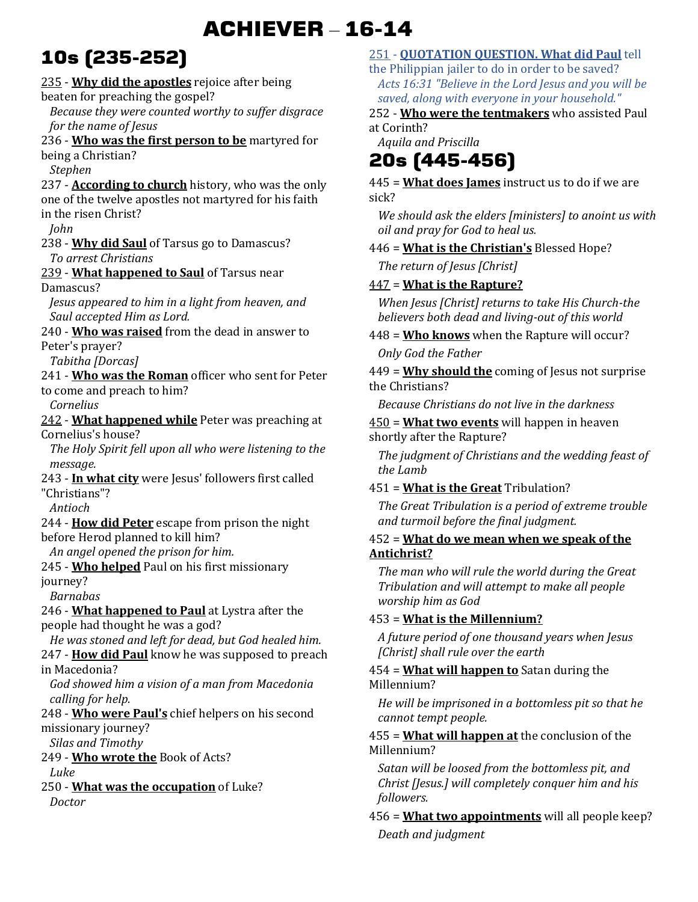## **ACHIEVER** – **16-14**

# **10s (235-252)**

235 - **Why did the apostles** rejoice after being beaten for preaching the gospel? *Because they were counted worthy to suffer disgrace for the name of Jesus*  236 - **Who was the first person to be** martyred for being a Christian? *Stephen*  237 - **According to church** history, who was the only one of the twelve apostles not martyred for his faith in the risen Christ? *John*  238 - **Why did Saul** of Tarsus go to Damascus? *To arrest Christians*  239 - **What happened to Saul** of Tarsus near Damascus? *Jesus appeared to him in a light from heaven, and Saul accepted Him as Lord.*  240 - **Who was raised** from the dead in answer to Peter's prayer? *Tabitha [Dorcas]*  241 - **Who was the Roman** officer who sent for Peter to come and preach to him? *Cornelius*  242 - **What happened while** Peter was preaching at Cornelius's house? *The Holy Spirit fell upon all who were listening to the message.*  243 - **In what city** were Jesus' followers first called "Christians"? *Antioch*  244 - **How did Peter** escape from prison the night before Herod planned to kill him? *An angel opened the prison for him.*  245 - **Who helped** Paul on his first missionary journey? *Barnabas*  246 - **What happened to Paul** at Lystra after the people had thought he was a god? *He was stoned and left for dead, but God healed him.*  247 - **How did Paul** know he was supposed to preach in Macedonia? *God showed him a vision of a man from Macedonia calling for help.*  248 - **Who were Paul's** chief helpers on his second missionary journey? *Silas and Timothy*  249 - **Who wrote the** Book of Acts? *Luke*  250 - **What was the occupation** of Luke? *Doctor* 

#### 251 - **QUOTATION QUESTION. What did Paul** tell

the Philippian jailer to do in order to be saved? *Acts 16:31 "Believe in the Lord Jesus and you will be saved, along with everyone in your household."* 

252 - **Who were the tentmakers** who assisted Paul at Corinth?

### *Aquila and Priscilla*  **20s (445-456)**

445 = **What does James** instruct us to do if we are sick?

*We should ask the elders [ministers] to anoint us with oil and pray for God to heal us.* 

446 = **What is the Christian's** Blessed Hope?

*The return of Jesus [Christ]* 

447 = **What is the Rapture?**

*When Jesus [Christ] returns to take His Church-the believers both dead and living-out of this world* 

448 = **Who knows** when the Rapture will occur? *Only God the Father* 

449 = **Why should the** coming of Jesus not surprise the Christians?

*Because Christians do not live in the darkness* 

450 = **What two events** will happen in heaven shortly after the Rapture?

*The judgment of Christians and the wedding feast of the Lamb* 

451 = **What is the Great** Tribulation?

*The Great Tribulation is a period of extreme trouble and turmoil before the final judgment.* 

#### 452 = **What do we mean when we speak of the Antichrist?**

*The man who will rule the world during the Great Tribulation and will attempt to make all people worship him as God* 

### 453 = **What is the Millennium?**

*A future period of one thousand years when Jesus [Christ] shall rule over the earth* 

#### 454 = **What will happen to** Satan during the Millennium?

*He will be imprisoned in a bottomless pit so that he cannot tempt people.* 

455 = **What will happen at** the conclusion of the Millennium?

*Satan will be loosed from the bottomless pit, and Christ [Jesus.] will completely conquer him and his followers.* 

456 = **What two appointments** will all people keep? *Death and judgment*